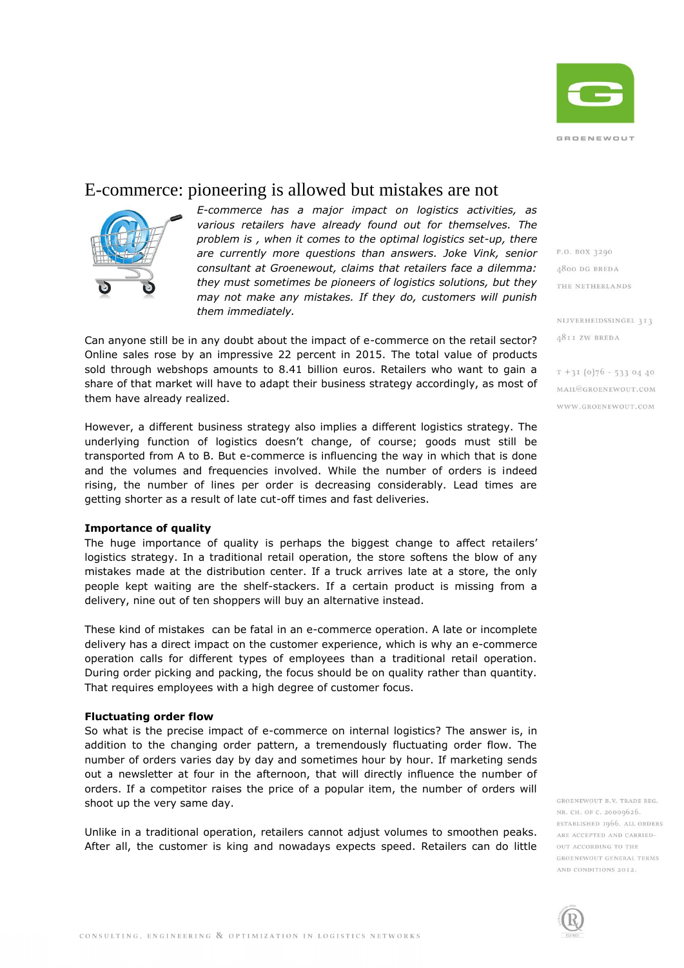

# E-commerce: pioneering is allowed but mistakes are not



*E-commerce has a major impact on logistics activities, as various retailers have already found out for themselves. The problem is , when it comes to the optimal logistics set-up, there are currently more questions than answers. Joke Vink, senior consultant at Groenewout, claims that retailers face a dilemma: they must sometimes be pioneers of logistics solutions, but they may not make any mistakes. If they do, customers will punish them immediately.*

Can anyone still be in any doubt about the impact of e-commerce on the retail sector? Online sales rose by an impressive 22 percent in 2015. The total value of products sold through webshops amounts to 8.41 billion euros. Retailers who want to gain a share of that market will have to adapt their business strategy accordingly, as most of them have already realized.

However, a different business strategy also implies a different logistics strategy. The underlying function of logistics doesn't change, of course; goods must still be transported from A to B. But e-commerce is influencing the way in which that is done and the volumes and frequencies involved. While the number of orders is indeed rising, the number of lines per order is decreasing considerably. Lead times are getting shorter as a result of late cut-off times and fast deliveries.

# **Importance of quality**

The huge importance of quality is perhaps the biggest change to affect retailers' logistics strategy. In a traditional retail operation, the store softens the blow of any mistakes made at the distribution center. If a truck arrives late at a store, the only people kept waiting are the shelf-stackers. If a certain product is missing from a delivery, nine out of ten shoppers will buy an alternative instead.

These kind of mistakes can be fatal in an e-commerce operation. A late or incomplete delivery has a direct impact on the customer experience, which is why an e-commerce operation calls for different types of employees than a traditional retail operation. During order picking and packing, the focus should be on quality rather than quantity. That requires employees with a high degree of customer focus.

## **Fluctuating order flow**

So what is the precise impact of e-commerce on internal logistics? The answer is, in addition to the changing order pattern, a tremendously fluctuating order flow. The number of orders varies day by day and sometimes hour by hour. If marketing sends out a newsletter at four in the afternoon, that will directly influence the number of orders. If a competitor raises the price of a popular item, the number of orders will shoot up the very same day.

Unlike in a traditional operation, retailers cannot adjust volumes to smoothen peaks. After all, the customer is king and nowadays expects speed. Retailers can do little

P.O. BOX 3290 **4800 DG BREDA** THE NETHERLANDS

NIJVERHEIDSSINGEL 313 **A8II ZW BREDA** 

 $T + 3I(0)76 - 5330440$ MAIL@GROENEWOUT.COM WWW.GROENEWOUT.COM

GROENEWOUT B.V. TRADE REG. NR. CH. OF C. 20009626. ESTABLISHED 1966. ALL ORDERS ARE ACCEPTED AND CARRIED-OUT ACCORDING TO THE GROENEWOUT GENERAL TERMS AND CONDITIONS 2012.

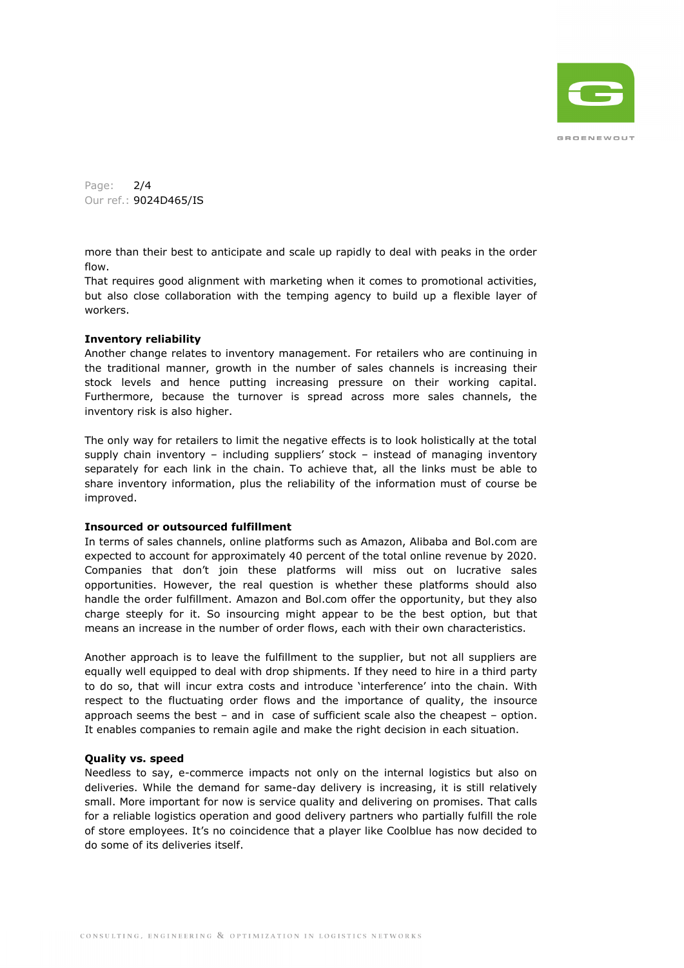

Page: 2/4 Our ref.: 9024D465/IS

more than their best to anticipate and scale up rapidly to deal with peaks in the order flow.

That requires good alignment with marketing when it comes to promotional activities, but also close collaboration with the temping agency to build up a flexible layer of workers.

# **Inventory reliability**

Another change relates to inventory management. For retailers who are continuing in the traditional manner, growth in the number of sales channels is increasing their stock levels and hence putting increasing pressure on their working capital. Furthermore, because the turnover is spread across more sales channels, the inventory risk is also higher.

The only way for retailers to limit the negative effects is to look holistically at the total supply chain inventory – including suppliers' stock – instead of managing inventory separately for each link in the chain. To achieve that, all the links must be able to share inventory information, plus the reliability of the information must of course be improved.

# **Insourced or outsourced fulfillment**

In terms of sales channels, online platforms such as Amazon, Alibaba and Bol.com are expected to account for approximately 40 percent of the total online revenue by 2020. Companies that don't join these platforms will miss out on lucrative sales opportunities. However, the real question is whether these platforms should also handle the order fulfillment. Amazon and Bol.com offer the opportunity, but they also charge steeply for it. So insourcing might appear to be the best option, but that means an increase in the number of order flows, each with their own characteristics.

Another approach is to leave the fulfillment to the supplier, but not all suppliers are equally well equipped to deal with drop shipments. If they need to hire in a third party to do so, that will incur extra costs and introduce 'interference' into the chain. With respect to the fluctuating order flows and the importance of quality, the insource approach seems the best – and in case of sufficient scale also the cheapest – option. It enables companies to remain agile and make the right decision in each situation.

# **Quality vs. speed**

Needless to say, e-commerce impacts not only on the internal logistics but also on deliveries. While the demand for same-day delivery is increasing, it is still relatively small. More important for now is service quality and delivering on promises. That calls for a reliable logistics operation and good delivery partners who partially fulfill the role of store employees. It's no coincidence that a player like Coolblue has now decided to do some of its deliveries itself.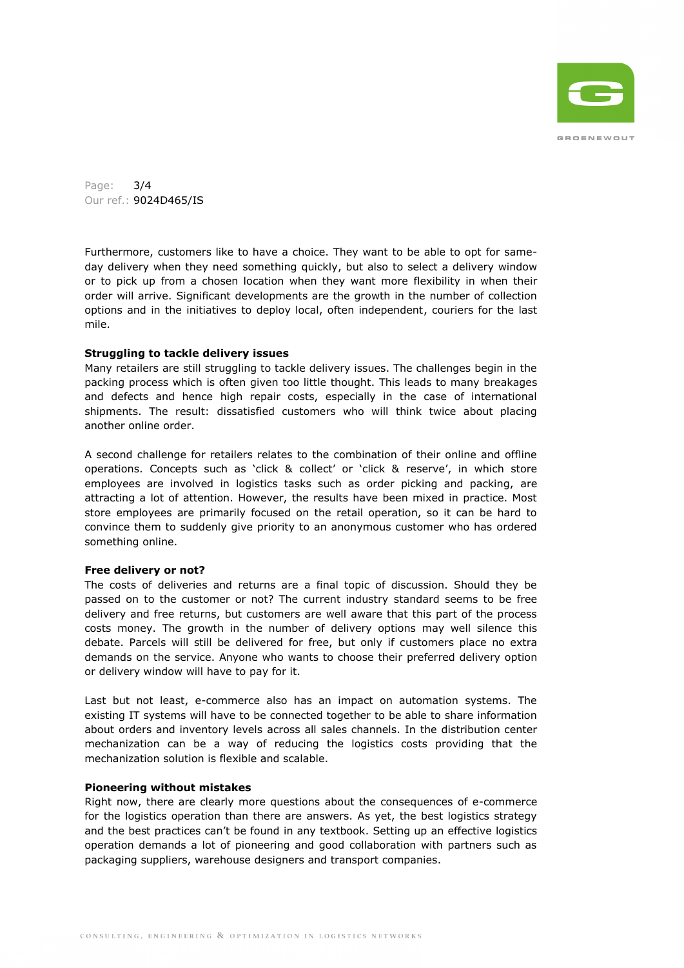

Page: 3/4 Our ref.: 9024D465/IS

Furthermore, customers like to have a choice. They want to be able to opt for sameday delivery when they need something quickly, but also to select a delivery window or to pick up from a chosen location when they want more flexibility in when their order will arrive. Significant developments are the growth in the number of collection options and in the initiatives to deploy local, often independent, couriers for the last mile.

# **Struggling to tackle delivery issues**

Many retailers are still struggling to tackle delivery issues. The challenges begin in the packing process which is often given too little thought. This leads to many breakages and defects and hence high repair costs, especially in the case of international shipments. The result: dissatisfied customers who will think twice about placing another online order.

A second challenge for retailers relates to the combination of their online and offline operations. Concepts such as 'click & collect' or 'click & reserve', in which store employees are involved in logistics tasks such as order picking and packing, are attracting a lot of attention. However, the results have been mixed in practice. Most store employees are primarily focused on the retail operation, so it can be hard to convince them to suddenly give priority to an anonymous customer who has ordered something online.

## **Free delivery or not?**

The costs of deliveries and returns are a final topic of discussion. Should they be passed on to the customer or not? The current industry standard seems to be free delivery and free returns, but customers are well aware that this part of the process costs money. The growth in the number of delivery options may well silence this debate. Parcels will still be delivered for free, but only if customers place no extra demands on the service. Anyone who wants to choose their preferred delivery option or delivery window will have to pay for it.

Last but not least, e-commerce also has an impact on automation systems. The existing IT systems will have to be connected together to be able to share information about orders and inventory levels across all sales channels. In the distribution center mechanization can be a way of reducing the logistics costs providing that the mechanization solution is flexible and scalable.

# **Pioneering without mistakes**

Right now, there are clearly more questions about the consequences of e-commerce for the logistics operation than there are answers. As yet, the best logistics strategy and the best practices can't be found in any textbook. Setting up an effective logistics operation demands a lot of pioneering and good collaboration with partners such as packaging suppliers, warehouse designers and transport companies.